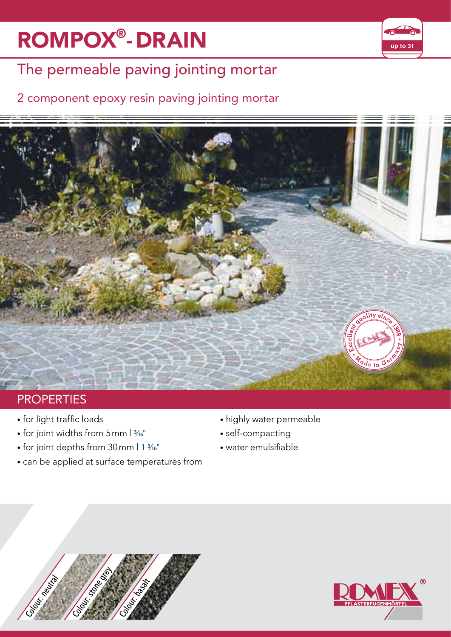# **ROMPOX<sup>®</sup>-DRAIN <b>Example 1999**



## The permeable paving jointing mortar

#### 2 component epoxy resin paving jointing mortar



### **PROPERTIES**

- for light traffic loads
- for joint widths from  $5$ mm  $|3/16"$
- for joint depths from 30 mm | 1 3/16"
- can be applied at surface temperatures from
- highly water permeable
- self-compacting
- water emulsifiable